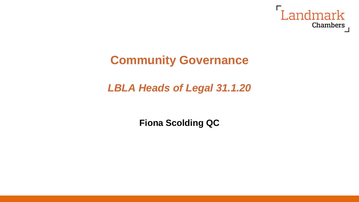

# **Community Governance**

## *LBLA Heads of Legal 31.1.20*

**Fiona Scolding QC**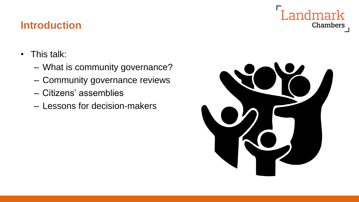## **Introduction**

- This talk:
	- What is community governance?
	- Community governance reviews
	- Citizens' assemblies
	- Lessons for decision-makers



Landmark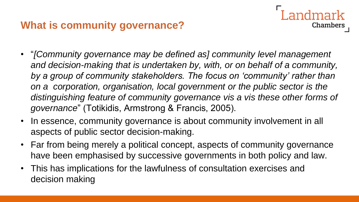## **What is community governance?**

• "*[Community governance may be defined as] community level management*  and decision-making that is undertaken by, with, or on behalf of a community, *by a group of community stakeholders. The focus on 'community' rather than on a corporation, organisation, local government or the public sector is the distinguishing feature of community governance vis a vis these other forms of governance*" (Totikidis, Armstrong & Francis, 2005).

- In essence, community governance is about community involvement in all aspects of public sector decision-making.
- Far from being merely a political concept, aspects of community governance have been emphasised by successive governments in both policy and law.
- This has implications for the lawfulness of consultation exercises and decision making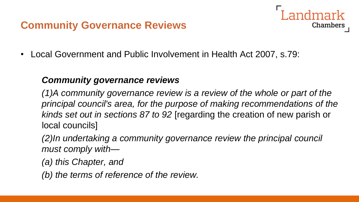## **Community Governance Reviews**

- Chambers
- Local Government and Public Involvement in Health Act 2007, s.79:

#### *Community governance reviews*

*(1)A community governance review is a review of the whole or part of the principal council's area, for the purpose of making recommendations of the kinds set out in sections 87 to 92* [regarding the creation of new parish or local councils]

*(2)In undertaking a community governance review the principal council must comply with—*

*(a) this Chapter, and*

*(b) the terms of reference of the review.*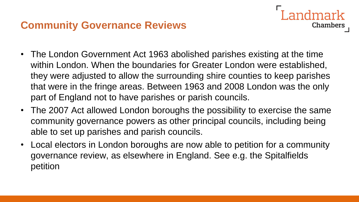### **Community Governance Reviews**

• The London Government Act 1963 abolished parishes existing at the time within London. When the boundaries for Greater London were established, they were adjusted to allow the surrounding shire counties to keep parishes that were in the fringe areas. Between 1963 and 2008 London was the only part of England not to have parishes or parish councils.

- The 2007 Act allowed London boroughs the possibility to exercise the same community governance powers as other principal councils, including being able to set up parishes and parish councils.
- Local electors in London boroughs are now able to petition for a community governance review, as elsewhere in England. See e.g. the Spitalfields petition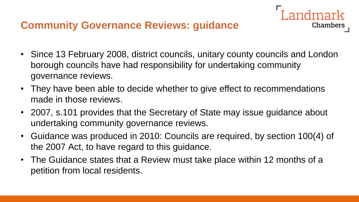### **Community Governance Reviews: guidance**

• Since 13 February 2008, district councils, unitary county councils and London borough councils have had responsibility for undertaking community governance reviews.

ndmark

- They have been able to decide whether to give effect to recommendations made in those reviews.
- 2007, s.101 provides that the Secretary of State may issue guidance about undertaking community governance reviews.
- Guidance was produced in 2010: Councils are required, by section 100(4) of the 2007 Act, to have regard to this guidance.
- The Guidance states that a Review must take place within 12 months of a petition from local residents.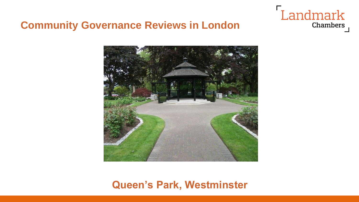# Landmark Chambers

#### **Community Governance Reviews in London**



#### **Queen's Park, Westminster**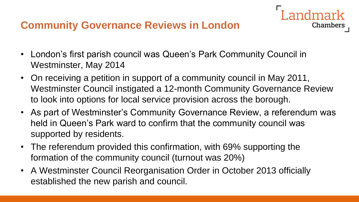- London's first parish council was Queen's Park Community Council in Westminster, May 2014
- On receiving a petition in support of a community council in May 2011, Westminster Council instigated a 12-month Community Governance Review to look into options for local service provision across the borough.

- As part of Westminster's Community Governance Review, a referendum was held in Queen's Park ward to confirm that the community council was supported by residents.
- The referendum provided this confirmation, with 69% supporting the formation of the community council (turnout was 20%)
- A Westminster Council Reorganisation Order in October 2013 officially established the new parish and council.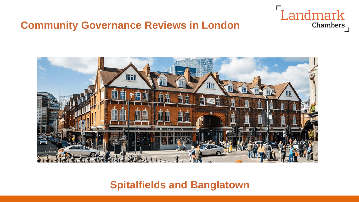



**Spitalfields and Banglatown**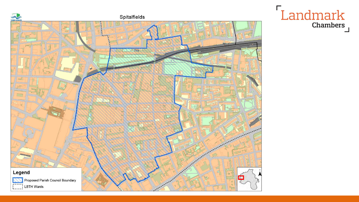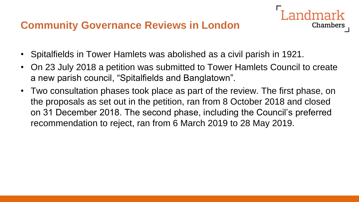- Spitalfields in Tower Hamlets was abolished as a civil parish in 1921.
- On 23 July 2018 a petition was submitted to Tower Hamlets Council to create a new parish council, "Spitalfields and Banglatown".

Chambers

• Two consultation phases took place as part of the review. The first phase, on the proposals as set out in the petition, ran from 8 October 2018 and closed on 31 December 2018. The second phase, including the Council's preferred recommendation to reject, ran from 6 March 2019 to 28 May 2019.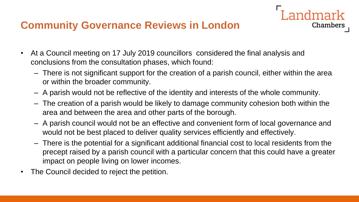- At a Council meeting on 17 July 2019 councillors considered the final analysis and conclusions from the consultation phases, which found:
	- There is not significant support for the creation of a parish council, either within the area or within the broader community.

Landmark

- A parish would not be reflective of the identity and interests of the whole community.
- The creation of a parish would be likely to damage community cohesion both within the area and between the area and other parts of the borough.
- A parish council would not be an effective and convenient form of local governance and would not be best placed to deliver quality services efficiently and effectively.
- There is the potential for a significant additional financial cost to local residents from the precept raised by a parish council with a particular concern that this could have a greater impact on people living on lower incomes.
- The Council decided to reject the petition.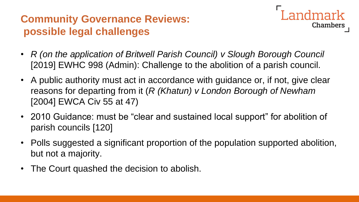# **Community Governance Reviews: possible legal challenges**



- *R (on the application of Britwell Parish Council) v Slough Borough Council*  [2019] EWHC 998 (Admin): Challenge to the abolition of a parish council.
- A public authority must act in accordance with guidance or, if not, give clear reasons for departing from it (*R (Khatun) v London Borough of Newham* [2004] EWCA Civ 55 at 47)
- 2010 Guidance: must be "clear and sustained local support" for abolition of parish councils [120]
- Polls suggested a significant proportion of the population supported abolition, but not a majority.
- The Court quashed the decision to abolish.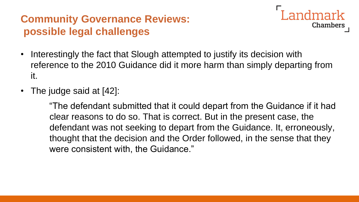## **Community Governance Reviews: possible legal challenges**



- Interestingly the fact that Slough attempted to justify its decision with reference to the 2010 Guidance did it more harm than simply departing from it.
- The judge said at [42]:

"The defendant submitted that it could depart from the Guidance if it had clear reasons to do so. That is correct. But in the present case, the defendant was not seeking to depart from the Guidance. It, erroneously, thought that the decision and the Order followed, in the sense that they were consistent with, the Guidance."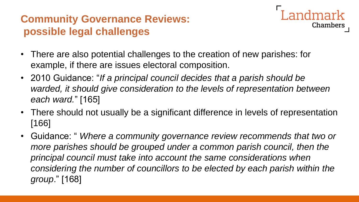# **Community Governance Reviews: possible legal challenges**

- **Chambers**
- There are also potential challenges to the creation of new parishes: for example, if there are issues electoral composition.
- 2010 Guidance: "*If a principal council decides that a parish should be warded, it should give consideration to the levels of representation between each ward.*" [165]
- There should not usually be a significant difference in levels of representation [166]
- Guidance: " *Where a community governance review recommends that two or more parishes should be grouped under a common parish council, then the principal council must take into account the same considerations when considering the number of councillors to be elected by each parish within the group*." [168]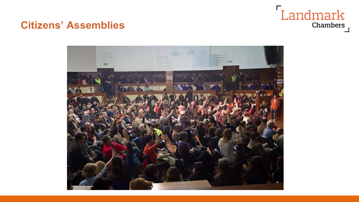# Landmark Chambers

#### **Citizens' Assemblies**

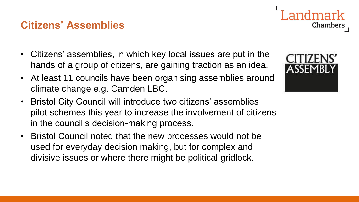## **Citizens' Assemblies**

- Citizens' assemblies, in which key local issues are put in the hands of a group of citizens, are gaining traction as an idea.
- At least 11 councils have been organising assemblies around climate change e.g. Camden LBC.
- Bristol City Council will introduce two citizens' assemblies pilot schemes this year to increase the involvement of citizens in the council's decision-making process.
- Bristol Council noted that the new processes would not be used for everyday decision making, but for complex and divisive issues or where there might be political gridlock.



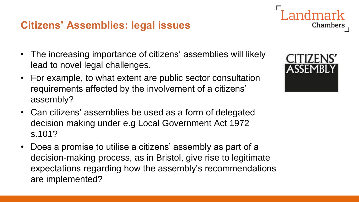## **Citizens' Assemblies: legal issues**

- The increasing importance of citizens' assemblies will likely lead to novel legal challenges.
- For example, to what extent are public sector consultation requirements affected by the involvement of a citizens' assembly?
- Can citizens' assemblies be used as a form of delegated decision making under e.g Local Government Act 1972 s.101?
- Does a promise to utilise a citizens' assembly as part of a decision-making process, as in Bristol, give rise to legitimate expectations regarding how the assembly's recommendations are implemented?